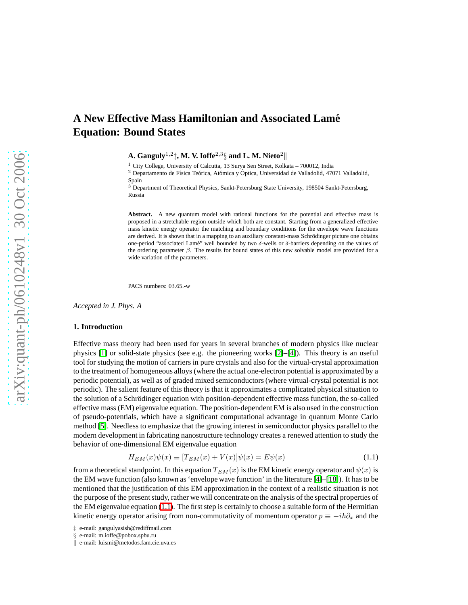# **A New Effective Mass Hamiltonian and Associated Lame´ Equation: Bound States**

A.  $\mathbf{Ganguly}^{1,2}$  $\ddagger$ , M. V. Ioffe $^{2,3}$ § and L. M. Nieto $^{2}$  $\parallel$ 

 $1$  City College, University of Calcutta, 13 Surya Sen Street, Kolkata – 700012, India

 $2$  Departamento de Física Teórica, Atómica y Óptica, Universidad de Valladolid, 47071 Valladolid, Spain

<sup>3</sup> Department of Theoretical Physics, Sankt-Petersburg State University, 198504 Sankt-Petersburg, Russia

**Abstract.** A new quantum model with rational functions for the potential and effective mass is proposed in a stretchable region outside which both are constant. Starting from a generalized effective mass kinetic energy operator the matching and boundary conditions for the envelope wave functions are derived. It is shown that in a mapping to an auxiliary constant-mass Schrödinger picture one obtains one-period "associated Lamé" well bounded by two δ-wells or δ-barriers depending on the values of the ordering parameter  $\beta$ . The results for bound states of this new solvable model are provided for a wide variation of the parameters.

PACS numbers: 03.65.-w

*Accepted in J. Phys. A*

### **1. Introduction**

Effective mass theory had been used for years in several branches of modern physics like nuclear physics [\[1\]](#page-19-0) or solid-state physics (see e.g. the pioneering works [\[2\]](#page-19-1)–[\[4\]](#page-19-2)). This theory is an useful tool for studying the motion of carriers in pure crystals and also for the virtual-crystal approximation to the treatment of homogeneous alloys (where the actual one-electron potential is approximated by a periodic potential), as well as of graded mixed semiconductors (where virtual-crystal potential is not periodic). The salient feature of this theory is that it approximates a complicated physical situation to the solution of a Schrödinger equation with position-dependent effective mass function, the so-called effective mass (EM) eigenvalue equation. The position-dependent EM is also used in the construction of pseudo-potentials, which have a significant computational advantage in quantum Monte Carlo method [\[5\]](#page-19-3). Needless to emphasize that the growing interest in semiconductor physics parallel to the modern development in fabricating nanostructure technology creates a renewed attention to study the behavior of one-dimensional EM eigenvalue equation

$$
H_{EM}(x)\psi(x) \equiv [T_{EM}(x) + V(x)]\psi(x) = E\psi(x)
$$
\n(1.1)

<span id="page-0-0"></span>from a theoretical standpoint. In this equation  $T_{EM}(x)$  is the EM kinetic energy operator and  $\psi(x)$  is the EM wave function (also known as 'envelope wave function' in the literature [\[4\]](#page-19-2)–[\[18\]](#page-19-4)). It has to be mentioned that the justification of this EM approximation in the context of a realistic situation is not the purpose of the present study, rather we will concentrate on the analysis of the spectral properties of the EM eigenvalue equation [\(1.1\)](#page-0-0). The first step is certainly to choose a suitable form of the Hermitian kinetic energy operator arising from non-commutativity of momentum operator  $p \equiv -i\hbar\partial_x$  and the

<sup>‡</sup> e-mail: gangulyasish@rediffmail.com

<sup>§</sup> e-mail: m.ioffe@pobox.spbu.ru

k e-mail: luismi@metodos.fam.cie.uva.es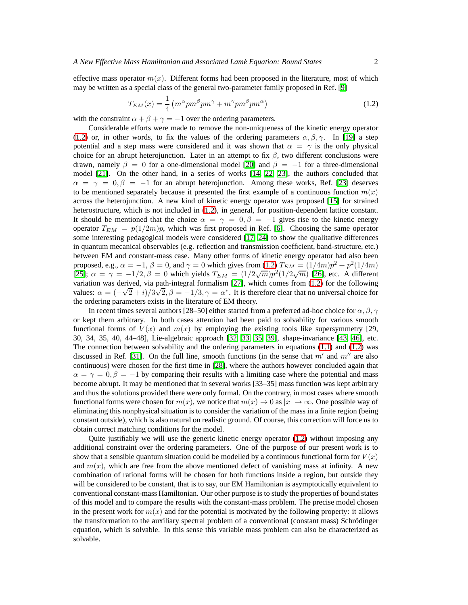<span id="page-1-0"></span>effective mass operator  $m(x)$ . Different forms had been proposed in the literature, most of which may be written as a special class of the general two-parameter family proposed in Ref. [\[9\]](#page-19-5)

$$
T_{EM}(x) = \frac{1}{4} \left( m^{\alpha} p m^{\beta} p m^{\gamma} + m^{\gamma} p m^{\beta} p m^{\alpha} \right)
$$
 (1.2)

with the constraint  $\alpha + \beta + \gamma = -1$  over the ordering parameters.

Considerable efforts were made to remove the non-uniqueness of the kinetic energy operator [\(1.2\)](#page-1-0) or, in other words, to fix the values of the ordering parameters  $\alpha, \beta, \gamma$ . In [\[19\]](#page-19-6) a step potential and a step mass were considered and it was shown that  $\alpha = \gamma$  is the only physical choice for an abrupt heterojunction. Later in an attempt to fix  $\beta$ , two different conclusions were drawn, namely  $\beta = 0$  for a one-dimensional model [\[20\]](#page-19-7) and  $\beta = -1$  for a three-dimensional model [\[21\]](#page-19-8). On the other hand, in a series of works [\[14,](#page-19-9) [22,](#page-19-10) [23\]](#page-19-11), the authors concluded that  $\alpha = \gamma = 0, \beta = -1$  for an abrupt heterojunction. Among these works, Ref. [\[23\]](#page-19-11) deserves to be mentioned separately because it presented the first example of a continuous function  $m(x)$ across the heterojunction. A new kind of kinetic energy operator was proposed [\[15\]](#page-19-12) for strained heterostructure, which is not included in [\(1.2\)](#page-1-0), in general, for position-dependent lattice constant. It should be mentioned that the choice  $\alpha = \gamma = 0, \beta = -1$  gives rise to the kinetic energy operator  $T_{EM} = p(1/2m)p$ , which was first proposed in Ref. [\[6\]](#page-19-13). Choosing the same operator some interesting pedagogical models were considered [\[17,](#page-19-14) [24\]](#page-19-15) to show the qualitative differences in quantum mecanical observables (e.g. reflection and transmission coefficient, band-structure, etc.) between EM and constant-mass case. Many other forms of kinetic energy operator had also been proposed, e.g.,  $\alpha = -1$ ,  $\beta = 0$ , and  $\gamma = 0$  which gives from [\(1.2\)](#page-1-0)  $T_{EM} = (1/4m)p^2 + p^2(1/4m)$ [\[25\]](#page-19-16);  $\alpha = \gamma = -1/2$ ,  $\beta = 0$  which yields  $T_{EM} = (1/2\sqrt{m})p^2(1/2\sqrt{m})$  [\[26\]](#page-19-17), etc. A different variation was derived, via path-integral formalism [\[27\]](#page-19-18), which comes from [\(1.2\)](#page-1-0) for the following values:  $\alpha = (-\sqrt{2} + i)/3\sqrt{2}, \beta = -1/3, \gamma = \alpha^*$ . It is therefore clear that no universal choice for the ordering parameters exists in the literature of EM theory.

In recent times several authors [28–50] either started from a preferred ad-hoc choice for  $\alpha$ ,  $\beta$ ,  $\gamma$ or kept them arbitrary. In both cases attention had been paid to solvability for various smooth functional forms of  $V(x)$  and  $m(x)$  by employing the existing tools like supersymmetry [29, 30, 34, 35, 40, 44–48], Lie-algebraic approach [\[32,](#page-19-19) [33,](#page-19-20) [35,](#page-19-21) [39\]](#page-19-22), shape-invariance [\[43,](#page-20-0) [46\]](#page-20-1), etc. The connection between solvability and the ordering parameters in equations [\(1.1\)](#page-0-0) and [\(1.2\)](#page-1-0) was discussed in Ref. [\[31\]](#page-19-23). On the full line, smooth functions (in the sense that  $m'$  and  $m''$  are also continuous) were chosen for the first time in [\[28\]](#page-19-24), where the authors however concluded again that  $\alpha = \gamma = 0, \beta = -1$  by comparing their results with a limiting case where the potential and mass become abrupt. It may be mentioned that in several works [33–35] mass function was kept arbitrary and thus the solutions provided there were only formal. On the contrary, in most cases where smooth functional forms were chosen for  $m(x)$ , we notice that  $m(x) \to 0$  as  $|x| \to \infty$ . One possible way of eliminating this nonphysical situation is to consider the variation of the mass in a finite region (being constant outside), which is also natural on realistic ground. Of course, this correction will force us to obtain correct matching conditions for the model.

Quite justifiably we will use the generic kinetic energy operator [\(1.2\)](#page-1-0) without imposing any additional constraint over the ordering parameters. One of the purpose of our present work is to show that a sensible quantum situation could be modelled by a continuous functional form for  $V(x)$ and  $m(x)$ , which are free from the above mentioned defect of vanishing mass at infinity. A new combination of rational forms will be chosen for both functions inside a region, but outside they will be considered to be constant, that is to say, our EM Hamiltonian is asymptotically equivalent to conventional constant-mass Hamiltonian. Our other purpose is to study the properties of bound states of this model and to compare the results with the constant-mass problem. The precise model chosen in the present work for  $m(x)$  and for the potential is motivated by the following property: it allows the transformation to the auxiliary spectral problem of a conventional (constant mass) Schrödinger equation, which is solvable. In this sense this variable mass problem can also be characterized as solvable.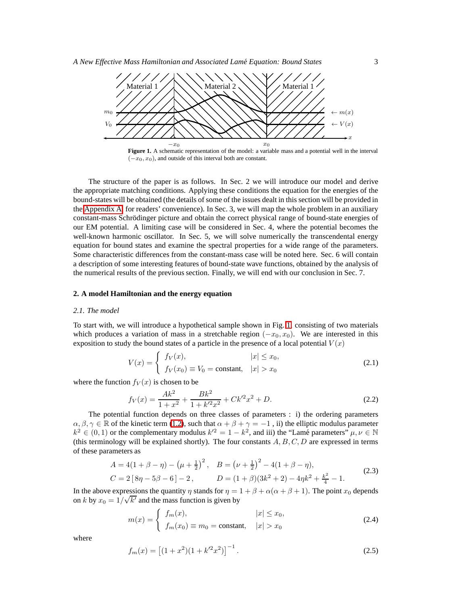

<span id="page-2-0"></span> $(-x_0, x_0)$ , and outside of this interval both are constant.

The structure of the paper is as follows. In Sec. 2 we will introduce our model and derive the appropriate matching conditions. Applying these conditions the equation for the energies of the bound-states will be obtained (the details of some of the issues dealt in this section will be provided in the [Appendix A,](#page-17-0) for readers' convenience). In Sec. 3, we will map the whole problem in an auxiliary constant-mass Schrödinger picture and obtain the correct physical range of bound-state energies of our EM potential. A limiting case will be considered in Sec. 4, where the potential becomes the well-known harmonic oscillator. In Sec. 5, we will solve numerically the transcendental energy equation for bound states and examine the spectral properties for a wide range of the parameters. Some characteristic differences from the constant-mass case will be noted here. Sec. 6 will contain a description of some interesting features of bound-state wave functions, obtained by the analysis of the numerical results of the previous section. Finally, we will end with our conclusion in Sec. 7.

### **2. A model Hamiltonian and the energy equation**

## *2.1. The model*

<span id="page-2-1"></span>To start with, we will introduce a hypothetical sample shown in Fig. [1,](#page-2-0) consisting of two materials which produces a variation of mass in a stretchable region  $(-x_0, x_0)$ . We are interested in this exposition to study the bound states of a particle in the presence of a local potential  $V(x)$ 

$$
V(x) = \begin{cases} f_V(x), & |x| \le x_0, \\ f_V(x_0) \equiv V_0 = \text{constant}, & |x| > x_0 \end{cases}
$$
 (2.1)

where the function  $f_V(x)$  is chosen to be

$$
f_V(x) = \frac{Ak^2}{1+x^2} + \frac{Bk^2}{1+k'^2x^2} + Ck'^2x^2 + D.
$$
 (2.2)

The potential function depends on three classes of parameters : i) the ordering parameters  $\alpha, \beta, \gamma \in \mathbb{R}$  of the kinetic term [\(1.2\)](#page-1-0), such that  $\alpha + \beta + \gamma = -1$ , ii) the elliptic modulus parameter  $k^2 \in (0,1)$  or the complementary modulus  $k'^2 = 1 - k^2$ , and iii) the "Lamé parameters"  $\mu, \nu \in \mathbb{N}$ (this terminology will be explained shortly). The four constants  $A, B, C, D$  are expressed in terms of these parameters as

$$
A = 4(1 + \beta - \eta) - (\mu + \frac{1}{2})^2, \quad B = (\nu + \frac{1}{2})^2 - 4(1 + \beta - \eta),
$$
  
\n
$$
C = 2[8\eta - 5\beta - 6] - 2, \qquad D = (1 + \beta)(3k^2 + 2) - 4\eta k^2 + \frac{k^2}{4} - 1.
$$
\n(2.3)

In the above expressions the quantity  $\eta$  stands for  $\eta = 1 + \beta + \alpha(\alpha + \beta + 1)$ . The point  $x_0$  depends on k by  $x_0 = 1/\sqrt{k'}$  and the mass function is given by

$$
m(x) = \begin{cases} f_m(x), & |x| \le x_0, \\ f_m(x_0) \equiv m_0 = \text{constant}, & |x| > x_0 \end{cases}
$$
 (2.4)

<span id="page-2-2"></span>where

$$
f_m(x) = \left[ (1+x^2)(1+k'^2x^2) \right]^{-1}.
$$
\n(2.5)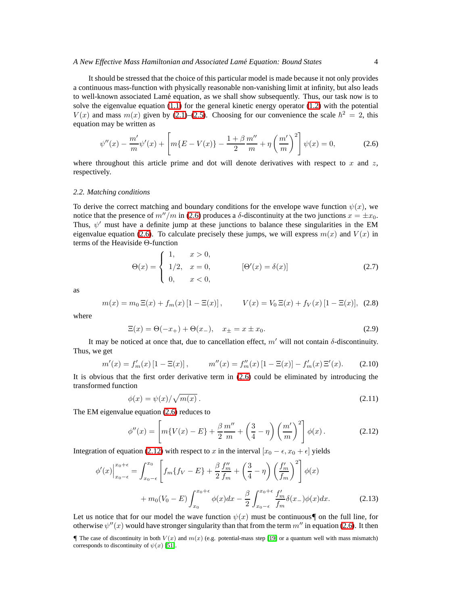### *A New Effective Mass Hamiltonian and Associated Lame Equation: Bound States ´* 4

It should be stressed that the choice of this particular model is made because it not only provides a continuous mass-function with physically reasonable non-vanishing limit at infinity, but also leads to well-known associated Lamé equation, as we shall show subsequently. Thus, our task now is to solve the eigenvalue equation  $(1.1)$  for the general kinetic energy operator  $(1.2)$  with the potential  $V(x)$  and mass  $m(x)$  given by [\(2.1\)](#page-2-1)–[\(2.5\)](#page-2-2). Choosing for our convenience the scale  $\hbar^2 = 2$ , this equation may be written as

<span id="page-3-0"></span>
$$
\psi''(x) - \frac{m'}{m}\psi'(x) + \left[m\{E - V(x)\} - \frac{1+\beta}{2}\frac{m''}{m} + \eta\left(\frac{m'}{m}\right)^2\right]\psi(x) = 0,\tag{2.6}
$$

where throughout this article prime and dot will denote derivatives with respect to  $x$  and  $z$ , respectively.

### <span id="page-3-4"></span>*2.2. Matching conditions*

To derive the correct matching and boundary conditions for the envelope wave function  $\psi(x)$ , we notice that the presence of  $m''/m$  in [\(2.6\)](#page-3-0) produces a  $\delta$ -discontinuity at the two junctions  $x = \pm x_0$ . Thus,  $\psi'$  must have a definite jump at these junctions to balance these singularities in the EM eigenvalue equation [\(2.6\)](#page-3-0). To calculate precisely these jumps, we will express  $m(x)$  and  $V(x)$  in terms of the Heaviside Θ-function

$$
\Theta(x) = \begin{cases} 1, & x > 0, \\ 1/2, & x = 0, \\ 0, & x < 0, \end{cases} \qquad [\Theta'(x) = \delta(x)] \tag{2.7}
$$

as

$$
m(x) = m_0 \,\Xi(x) + f_m(x) \left[1 - \Xi(x)\right], \qquad V(x) = V_0 \,\Xi(x) + f_V(x) \left[1 - \Xi(x)\right], \tag{2.8}
$$

where

$$
\Xi(x) = \Theta(-x_+) + \Theta(x_-), \quad x_{\pm} = x \pm x_0. \tag{2.9}
$$

It may be noticed at once that, due to cancellation effect,  $m'$  will not contain  $\delta$ -discontinuity. Thus, we get

$$
m'(x) = f'_m(x) [1 - \Xi(x)], \qquad m''(x) = f''_m(x) [1 - \Xi(x)] - f'_m(x) \Xi'(x). \tag{2.10}
$$

<span id="page-3-2"></span>It is obvious that the first order derivative term in [\(2.6\)](#page-3-0) could be eliminated by introducing the transformed function

$$
\phi(x) = \psi(x) / \sqrt{m(x)} \,. \tag{2.11}
$$

<span id="page-3-1"></span>The EM eigenvalue equation [\(2.6\)](#page-3-0) reduces to

$$
\phi''(x) = \left[ m\{V(x) - E\} + \frac{\beta m''}{2 m} + \left(\frac{3}{4} - \eta\right) \left(\frac{m'}{m}\right)^2 \right] \phi(x).
$$
 (2.12)

<span id="page-3-3"></span>Integration of equation [\(2.12\)](#page-3-1) with respect to x in the interval  $[x_0 - \epsilon, x_0 + \epsilon]$  yields

$$
\phi'(x)\Big|_{x_0-\epsilon}^{x_0+\epsilon} = \int_{x_0-\epsilon}^{x_0} \left[ f_m\{f_V - E\} + \frac{\beta}{2} \frac{f''_m}{f_m} + \left(\frac{3}{4} - \eta\right) \left(\frac{f'_m}{f_m}\right)^2 \right] \phi(x) + m_0(V_0 - E) \int_{x_0}^{x_0+\epsilon} \phi(x) dx - \frac{\beta}{2} \int_{x_0-\epsilon}^{x_0+\epsilon} \frac{f'_m}{f_m} \delta(x_-) \phi(x) dx.
$$
 (2.13)

Let us notice that for our model the wave function  $\psi(x)$  must be continuous. on the full line, for otherwise  $\psi''(x)$  would have stronger singularity than that from the term  $m''$  in equation [\(2.6\)](#page-3-0). It then

The case of discontinuity in both  $V(x)$  and  $m(x)$  (e.g. potential-mass step [\[19\]](#page-19-6) or a quantum well with mass mismatch) corresponds to discontinuity of  $\psi(x)$  [\[51\]](#page-20-2).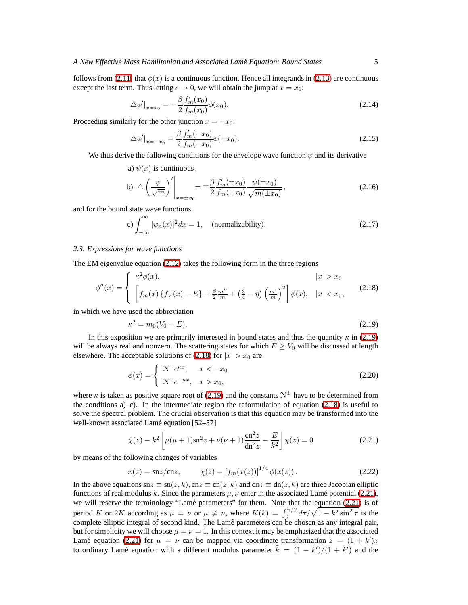follows from [\(2.11\)](#page-3-2) that  $\phi(x)$  is a continuous function. Hence all integrands in [\(2.13\)](#page-3-3) are continuous except the last term. Thus letting  $\epsilon \to 0$ , we will obtain the jump at  $x = x_0$ :

$$
\Delta \phi'|_{x=x_0} = -\frac{\beta}{2} \frac{f'_m(x_0)}{f_m(x_0)} \phi(x_0). \tag{2.14}
$$

Proceeding similarly for the other junction  $x = -x_0$ :

$$
\Delta \phi'|_{x=-x_0} = \frac{\beta}{2} \frac{f'_m(-x_0)}{f_m(-x_0)} \phi(-x_0). \tag{2.15}
$$

<span id="page-4-5"></span>We thus derive the following conditions for the envelope wave function  $\psi$  and its derivative

a) 
$$
\psi(x)
$$
 is continuous,

$$
\text{b)} \ \triangle \left(\frac{\psi}{\sqrt{m}}\right)' \bigg|_{x=\pm x_0} = \mp \frac{\beta}{2} \frac{f'_m(\pm x_0)}{f_m(\pm x_0)} \frac{\psi(\pm x_0)}{\sqrt{m(\pm x_0)}},\tag{2.16}
$$

<span id="page-4-6"></span>and for the bound state wave functions

c) 
$$
\int_{-\infty}^{\infty} |\psi_n(x)|^2 dx = 1, \quad \text{(normalizability)}.
$$
 (2.17)

### *2.3. Expressions for wave functions*

<span id="page-4-1"></span>The EM eigenvalue equation [\(2.12\)](#page-3-1) takes the following form in the three regions

$$
\phi''(x) = \begin{cases} \kappa^2 \phi(x), & |x| > x_0 \\ \left[ f_m(x) \left\{ f_V(x) - E \right\} + \frac{\beta}{2} \frac{m''}{m} + \left( \frac{3}{4} - \eta \right) \left( \frac{m'}{m} \right)^2 \right] \phi(x), & |x| < x_0, \end{cases}
$$
(2.18)

<span id="page-4-0"></span>in which we have used the abbreviation

$$
\kappa^2 = m_0 (V_0 - E). \tag{2.19}
$$

<span id="page-4-4"></span>In this exposition we are primarily interested in bound states and thus the quantity  $\kappa$  in [\(2.19\)](#page-4-0) will be always real and nonzero. The scattering states for which  $E \ge V_0$  will be discussed at length elsewhere. The acceptable solutions of [\(2.18\)](#page-4-1) for  $|x| > x_0$  are

$$
\phi(x) = \begin{cases} \mathcal{N}^- e^{\kappa x}, & x < -x_0 \\ \mathcal{N}^+ e^{-\kappa x}, & x > x_0, \end{cases}
$$
\n(2.20)

where  $\kappa$  is taken as positive square root of [\(2.19\)](#page-4-0) and the constants  $\mathcal{N}^{\pm}$  have to be determined from the conditions  $a$ )–c). In the intermediate region the reformulation of equation [\(2.18\)](#page-4-1) is useful to solve the spectral problem. The crucial observation is that this equation may be transformed into the well-known associated Lamé equation [52–57]

$$
\ddot{\chi}(z) - k^2 \left[ \mu(\mu + 1) \operatorname{sn}^2 z + \nu(\nu + 1) \frac{\operatorname{cn}^2 z}{\operatorname{dn}^2 z} - \frac{E}{k^2} \right] \chi(z) = 0 \tag{2.21}
$$

<span id="page-4-3"></span><span id="page-4-2"></span>by means of the following changes of variables

$$
x(z) = \text{sn}z/\text{cn}z, \qquad \chi(z) = [f_m(x(z))]^{1/4} \phi(x(z)). \tag{2.22}
$$

In the above equations sn $z \equiv \text{sn}(z, k)$ , cn $z \equiv \text{cn}(z, k)$  and dn $z \equiv \text{dn}(z, k)$  are three Jacobian elliptic functions of real modulus k. Since the parameters  $\mu$ ,  $\nu$  enter in the associated Lamé potential [\(2.21\)](#page-4-2), we will reserve the terminology "Lamé parameters" for them. Note that the equation [\(2.21\)](#page-4-2) is of period K or 2K according as  $\mu = \nu$  or  $\mu \neq \nu$ , where  $K(k) = \int_0^{\pi/2} d\tau / \sqrt{1 - k^2 \sin^2 \tau}$  is the complete elliptic integral of second kind. The Lamé parameters can be chosen as any integral pair, but for simplicity we will choose  $\mu = \nu = 1$ . In this context it may be emphasized that the associated Lamé equation [\(2.21\)](#page-4-2) for  $\mu = \nu$  can be mapped via coordinate transformation  $\tilde{z} = (1 + k')z$ to ordinary Lamé equation with a different modulus parameter  $\tilde{k} = (1 - k')/(1 + k')$  and the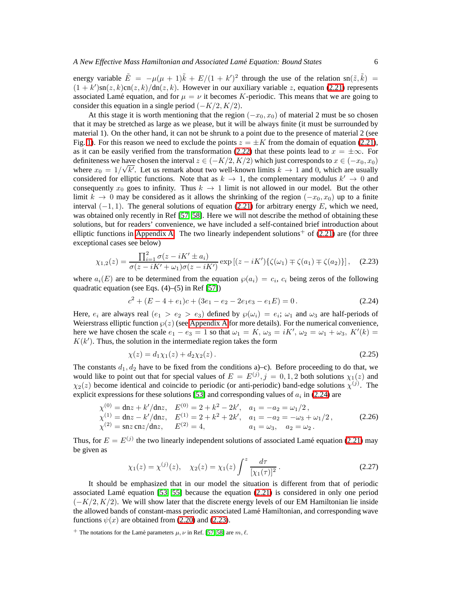energy variable  $\tilde{E} = -\mu(\mu + 1)\tilde{k} + E/(1 + k')^2$  through the use of the relation sn( $\tilde{z}, \tilde{k}$ ) =  $(1 + k')\text{sn}(z, k)\text{cn}(z, k)/\text{dn}(z, k)$ . However in our auxiliary variable z, equation [\(2.21\)](#page-4-2) represents associated Lamé equation, and for  $\mu = \nu$  it becomes K-periodic. This means that we are going to consider this equation in a single period  $(-K/2, K/2)$ .

At this stage it is worth mentioning that the region  $(-x_0, x_0)$  of material 2 must be so chosen that it may be stretched as large as we please, but it will be always finite (it must be surrounded by material 1). On the other hand, it can not be shrunk to a point due to the presence of material 2 (see Fig. [1\)](#page-2-0). For this reason we need to exclude the points  $z = \pm K$  from the domain of equation [\(2.21\)](#page-4-2), as it can be easily verified from the transformation [\(2.22\)](#page-4-3) that these points lead to  $x = \pm \infty$ . For definiteness we have chosen the interval  $z \in (-K/2, K/2)$  which just corresponds to  $x \in (-x_0, x_0)$ where  $x_0 = 1/\sqrt{k'}$ . Let us remark about two well-known limits  $k \to 1$  and 0, which are usually considered for elliptic functions. Note that as  $k \to 1$ , the complementary modulus  $k' \to 0$  and consequently  $x_0$  goes to infinity. Thus  $k \to 1$  limit is not allowed in our model. But the other limit  $k \to 0$  may be considered as it allows the shrinking of the region ( $-x_0, x_0$ ) up to a finite interval  $(-1, 1)$ . The general solutions of equation [\(2.21\)](#page-4-2) for arbitrary energy E, which we need, was obtained only recently in Ref [\[57,](#page-20-3) [58\]](#page-20-4). Here we will not describe the method of obtaining these solutions, but for readers' convenience, we have included a self-contained brief introduction about elliptic functions in [Appendix A.](#page-17-0) The two linearly independent solutions<sup>+</sup> of  $(2.21)$  are (for three exceptional cases see below)

<span id="page-5-1"></span>
$$
\chi_{1,2}(z) = \frac{\prod_{i=1}^{2} \sigma(z - iK' \pm a_i)}{\sigma(z - iK' + \omega_1)\sigma(z - iK')} \exp\left[(z - iK')\{\zeta(\omega_1) \mp \zeta(a_1) \mp \zeta(a_2)\}\right], \quad (2.23)
$$

<span id="page-5-0"></span>where  $a_i(E)$  are to be determined from the equation  $\wp(a_i) = c_i$ ,  $c_i$  being zeros of the following quadratic equation (see Eqs.  $(4)$ – $(5)$  in Ref [\[57\]](#page-20-3))

$$
c2 + (E - 4 + e1)c + (3e1 - e2 - 2e1e3 - e1E) = 0.
$$
 (2.24)

Here,  $e_i$  are always real  $(e_1 > e_2 > e_3)$  defined by  $\wp(\omega_i) = e_i$ ;  $\omega_1$  and  $\omega_3$  are half-periods of Weierstrass elliptic function  $\wp(z)$  (see [Appendix A](#page-17-0) for more details). For the numerical convenience, here we have chosen the scale  $e_1 - e_3 = 1$  so that  $\omega_1 = K$ ,  $\omega_3 = iK'$ ,  $\omega_2 = \omega_1 + \omega_3$ ,  $K'(k) =$  $K(k')$ . Thus, the solution in the intermediate region takes the form

$$
\chi(z) = d_1 \chi_1(z) + d_2 \chi_2(z). \tag{2.25}
$$

The constants  $d_1, d_2$  have to be fixed from the conditions a)–c). Before proceeding to do that, we would like to point out that for special values of  $E = E^{(j)}$ ,  $j = 0, 1, 2$  both solutions  $\chi_1(z)$  and  $\chi_2(z)$  become identical and coincide to periodic (or anti-periodic) band-edge solutions  $\chi^{(j)}$ . The explicit expressions for these solutions [\[53\]](#page-20-5) and corresponding values of  $a_i$  in [\(2.24\)](#page-5-0) are

<span id="page-5-2"></span>
$$
\chi^{(0)} = \text{dn}z + k'/\text{dn}z, \quad E^{(0)} = 2 + k^2 - 2k', \quad a_1 = -a_2 = \omega_1/2,
$$
\n
$$
\chi^{(1)} = \text{dn}z - k'/\text{dn}z, \quad E^{(1)} = 2 + k^2 + 2k', \quad a_1 = -a_2 = -\omega_3 + \omega_1/2,
$$
\n
$$
\chi^{(2)} = \text{sn}z \,\text{cn}z/\text{dn}z, \quad E^{(2)} = 4, \quad a_1 = \omega_3, \quad a_2 = \omega_2.
$$
\n(2.26)

<span id="page-5-3"></span>Thus, for  $E = E^{(j)}$  the two linearly independent solutions of associated Lamé equation [\(2.21\)](#page-4-2) may be given as

$$
\chi_1(z) = \chi^{(j)}(z), \quad \chi_2(z) = \chi_1(z) \int^z \frac{d\tau}{[\chi_1(\tau)]^2}.
$$
 (2.27)

It should be emphasized that in our model the situation is different from that of periodic associated Lamé equation  $[53, 55]$  $[53, 55]$  because the equation  $(2.21)$  is considered in only one period  $(-K/2, K/2)$ . We will show later that the discrete energy levels of our EM Hamiltonian lie inside the allowed bands of constant-mass periodic associated Lamé Hamiltonian, and corresponding wave functions  $\psi(x)$  are obtained from [\(2.20\)](#page-4-4) and [\(2.23\)](#page-5-1).

<sup>&</sup>lt;sup>+</sup> The notations for the Lamé parameters  $\mu$ ,  $\nu$  in Ref. [\[57,](#page-20-3) [58\]](#page-20-4) are  $m$ ,  $\ell$ .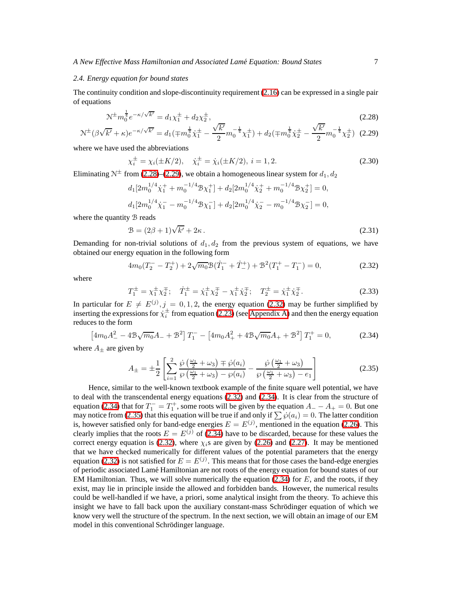### *2.4. Energy equation for bound states*

<span id="page-6-0"></span>The continuity condition and slope-discontinuity requirement [\(2.16\)](#page-4-5) can be expressed in a single pair of equations

$$
\mathcal{N}^{\pm} m_0^{\frac{1}{4}} e^{-\kappa/\sqrt{k'}} = d_1 \chi_1^{\pm} + d_2 \chi_2^{\pm},\tag{2.28}
$$

<span id="page-6-1"></span>
$$
\mathcal{N}^{\pm}(\beta\sqrt{k'}+\kappa)e^{-\kappa/\sqrt{k'}}=d_1(\mp m_0^{\frac{1}{4}}\dot{\chi}_1^{\pm}-\frac{\sqrt{k'}}{2}m_0^{-\frac{1}{4}}\chi_1^{\pm})+d_2(\mp m_0^{\frac{1}{4}}\dot{\chi}_2^{\pm}-\frac{\sqrt{k'}}{2}m_0^{-\frac{1}{4}}\chi_2^{\pm})
$$
(2.29)

where we have used the abbreviations

$$
\chi_i^{\pm} = \chi_i(\pm K/2), \quad \dot{\chi}_i^{\pm} = \dot{\chi}_i(\pm K/2), \quad i = 1, 2. \tag{2.30}
$$

Eliminating  $N^{\pm}$  from [\(2.28\)](#page-6-0)–[\(2.29\)](#page-6-1), we obtain a homogeneous linear system for  $d_1, d_2$ 

$$
d_1[2m_0^{1/4}\dot{\chi}_1^+ + m_0^{-1/4} \mathcal{B} \chi_1^+] + d_2[2m_0^{1/4}\dot{\chi}_2^+ + m_0^{-1/4} \mathcal{B} \chi_2^+] = 0,
$$
  

$$
d_1[2m_0^{1/4}\dot{\chi}_1^- - m_0^{-1/4} \mathcal{B} \chi_1^-] + d_2[2m_0^{1/4}\dot{\chi}_2^- - m_0^{-1/4} \mathcal{B} \chi_2^-] = 0,
$$

<span id="page-6-5"></span>where the quantity **B** reads

$$
\mathcal{B} = (2\beta + 1)\sqrt{k'} + 2\kappa. \tag{2.31}
$$

<span id="page-6-2"></span>Demanding for non-trivial solutions of  $d_1, d_2$  from the previous system of equations, we have obtained our energy equation in the following form

$$
4m_0(T_2^- - T_2^+) + 2\sqrt{m_0} \mathcal{B}(\dot{T}_1^- + \dot{T}_-^+) + \mathcal{B}^2(T_1^+ - T_1^-) = 0,\tag{2.32}
$$

<span id="page-6-6"></span>where

$$
T_1^{\pm} = \chi_1^{\pm} \chi_2^{\mp}; \quad \dot{T}_1^{\pm} = \dot{\chi}_1^{\pm} \chi_2^{\mp} - \chi_1^{\pm} \dot{\chi}_2^{\mp}; \quad T_2^{\pm} = \dot{\chi}_1^{\pm} \dot{\chi}_2^{\mp}.
$$
 (2.33)

In particular for  $E \neq E^{(j)}$ ,  $j = 0, 1, 2$ , the energy equation [\(2.32\)](#page-6-2) may be further simplified by inserting the expressions for  $\dot{\chi}^{\pm}$  from equation [\(2.23\)](#page-5-1) (see [Appendix A\)](#page-17-0) and then the energy equation reduces to the form

<span id="page-6-3"></span>
$$
\[4m_0A_-^2 - 4\mathcal{B}\sqrt{m_0}A_- + \mathcal{B}^2\]T_1^- - \[4m_0A_+^2 + 4\mathcal{B}\sqrt{m_0}A_+ + \mathcal{B}^2\]T_1^+ = 0,\tag{2.34}
$$

<span id="page-6-4"></span>where  $A_{\pm}$  are given by

$$
A_{\pm} = \pm \frac{1}{2} \left[ \sum_{i=1}^{2} \frac{\dot{\wp} \left( \frac{\omega_1}{2} + \omega_3 \right) \mp \dot{\wp}(a_i)}{\wp \left( \frac{\omega_1}{2} + \omega_3 \right) - \wp(a_i)} - \frac{\dot{\wp} \left( \frac{\omega_1}{2} + \omega_3 \right)}{\wp \left( \frac{\omega_1}{2} + \omega_3 \right) - e_1} \right]
$$
(2.35)

Hence, similar to the well-known textbook example of the finite square well potential, we have to deal with the transcendental energy equations [\(2.32\)](#page-6-2) and [\(2.34\)](#page-6-3). It is clear from the structure of equation [\(2.34\)](#page-6-3) that for  $T_1^- = T_1^+$ , some roots will be given by the equation  $A_- - A_+ = 0$ . But one may notice from [\(2.35\)](#page-6-4) that this equation will be true if and only if  $\sum \wp(a_i) = 0$ . The latter condition is, however satisfied only for band-edge energies  $E = E^{(j)}$ , mentioned in the equation [\(2.26\)](#page-5-2). This clearly implies that the roots  $E = E^{(j)}$  of [\(2.34\)](#page-6-3) have to be discarded, because for these values the correct energy equation is [\(2.32\)](#page-6-2), where  $\chi_i$ s are given by [\(2.26\)](#page-5-2) and [\(2.27\)](#page-5-3). It may be mentioned that we have checked numerically for different values of the potential parameters that the energy equation [\(2.32\)](#page-6-2) is not satisfied for  $E = E^{(j)}$ . This means that for those cases the band-edge energies of periodic associated Lam´e Hamiltonian are not roots of the energy equation for bound states of our EM Hamiltonian. Thus, we will solve numerically the equation  $(2.34)$  for E, and the roots, if they exist, may lie in principle inside the allowed and forbidden bands. However, the numerical results could be well-handled if we have, a priori, some analytical insight from the theory. To achieve this insight we have to fall back upon the auxiliary constant-mass Schrödinger equation of which we know very well the structure of the spectrum. In the next section, we will obtain an image of our EM model in this conventional Schrödinger language.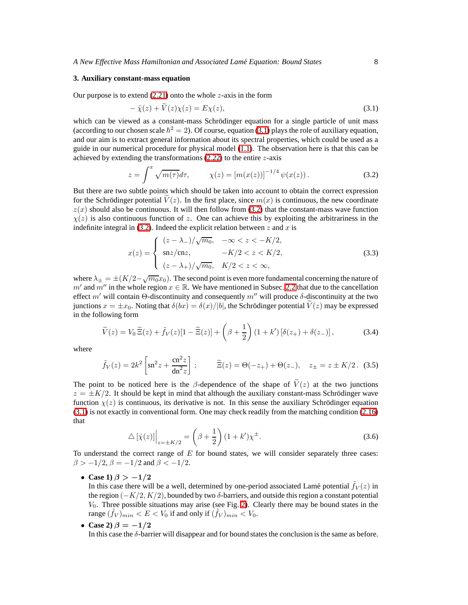### <span id="page-7-3"></span>*A New Effective Mass Hamiltonian and Associated Lame Equation: Bound States ´* 8

#### **3. Auxiliary constant-mass equation**

<span id="page-7-0"></span>Our purpose is to extend  $(2.21)$  onto the whole  $z$ -axis in the form

$$
-\ddot{\chi}(z) + \ddot{V}(z)\chi(z) = E\chi(z),\tag{3.1}
$$

which can be viewed as a constant-mass Schrödinger equation for a single particle of unit mass (according to our chosen scale  $\hbar^2 = 2$ ). Of course, equation [\(3.1\)](#page-7-0) plays the role of auxiliary equation, and our aim is to extract general information about its spectral properties, which could be used as a guide in our numerical procedure for physical model [\(1.1\)](#page-0-0). The observation here is that this can be achieved by extending the transformations  $(2.22)$  to the entire *z*-axis

$$
z = \int^{x} \sqrt{m(\tau)} d\tau, \qquad \chi(z) = [m(x(z))]^{-1/4} \psi(x(z)). \tag{3.2}
$$

<span id="page-7-1"></span>But there are two subtle points which should be taken into account to obtain the correct expression for the Schrödinger potential  $V(z)$ . In the first place, since  $m(x)$  is continuous, the new coordinate  $z(x)$  should also be continuous. It will then follow from [\(3.2\)](#page-7-1) that the constant-mass wave function  $\chi(z)$  is also continuous function of z. One can achieve this by exploiting the arbitrariness in the indefinite integral in  $(3.2)$ . Indeed the explicit relation between z and x is

$$
x(z) = \begin{cases} (z - \lambda_{-})/\sqrt{m_0}, & -\infty < z < -K/2, \\ \text{snz/cnz}, & -K/2 < z < K/2, \\ (z - \lambda_{+})/\sqrt{m_0}, & K/2 < z < \infty, \end{cases} \tag{3.3}
$$

where  $\lambda_{\pm} = \pm (K/2 - \sqrt{m_0}x_0)$ . The second point is even more fundamental concerning the nature of m' and m'' in the whole region  $x \in \mathbb{R}$ . We have mentioned in Subsec. [2.2](#page-3-4) that due to the cancellation effect m' will contain Θ-discontinuity and consequently m'' will produce  $\delta$ -discontinuity at the two junctions  $x = \pm x_0$ . Noting that  $\delta(bx) = \delta(x)/|b|$ , the Schrödinger potential  $\dot{V}(z)$  may be expressed in the following form

$$
\widetilde{V}(z) = V_0 \widetilde{\Xi}(z) + \widetilde{f}_V(z)[1 - \widetilde{\Xi}(z)] + \left(\beta + \frac{1}{2}\right)(1 + k')\left[\delta(z_+) + \delta(z_-)\right],\tag{3.4}
$$

<span id="page-7-2"></span>where

$$
\tilde{f}_V(z) = 2k^2 \left[ \text{sn}^2 z + \frac{\text{cn}^2 z}{\text{dn}^2 z} \right];
$$
  $\tilde{\Xi}(z) = \Theta(-z_+) + \Theta(z_-),$   $z_{\pm} = z \pm K/2.$  (3.5)

The point to be noticed here is the β-dependence of the shape of  $V(z)$  at the two junctions  $z = \pm K/2$ . It should be kept in mind that although the auxiliary constant-mass Schrödinger wave function  $\chi(z)$  is continuous, its derivative is not. In this sense the auxiliary Schrödinger equation [\(3.1\)](#page-7-0) is not exactly in conventional form. One may check readily from the matching condition [\(2.16\)](#page-4-5) that

$$
\Delta\left[\dot{\chi}(z)\right]\Big|_{z=\pm K/2} = \left(\beta + \frac{1}{2}\right)(1+k')\chi^{\pm}.
$$
\n(3.6)

To understand the correct range of  $E$  for bound states, we will consider separately three cases:  $\beta > -1/2$ ,  $\beta = -1/2$  and  $\beta < -1/2$ .

• **Case 1**)  $\beta > -1/2$ 

In this case there will be a well, determined by one-period associated Lamé potential  $\tilde{f}_V(z)$  in the region  $(-K/2, K/2)$ , bounded by two  $\delta$ -barriers, and outside this region a constant potential  $V_0$ . Three possible situations may arise (see Fig. [2\)](#page-8-0). Clearly there may be bound states in the range  $(\tilde{f}_V)_{min} < E < V_0$  if and only if  $(\tilde{f}_V)_{min} < V_0$ .

• Case 2) 
$$
\beta = -1/2
$$

In this case the δ-barrier will disappear and for bound states the conclusion is the same as before.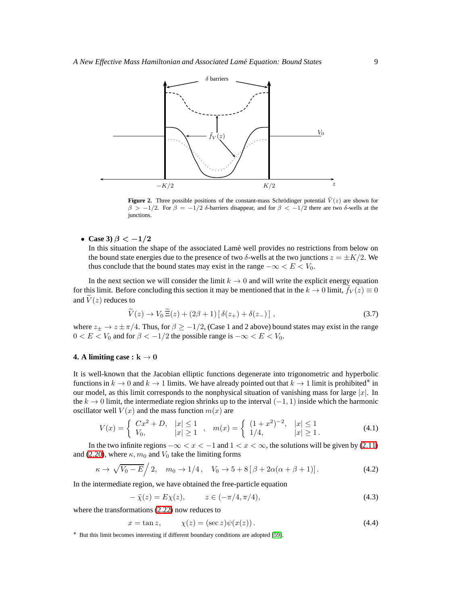

<span id="page-8-0"></span>**Figure 2.** Three possible positions of the constant-mass Schrödinger potential  $\tilde{V}(z)$  are shown for  $β > -1/2$ . For  $β = -1/2 δ$ -barriers disappear, and for  $β < -1/2$  there are two δ-wells at the junctions.

• **Case 3**)  $\beta < -1/2$ 

In this situation the shape of the associated Lamé well provides no restrictions from below on the bound state energies due to the presence of two  $\delta$ -wells at the two junctions  $z = \pm K/2$ . We thus conclude that the bound states may exist in the range  $-\infty < E < V_0$ .

<span id="page-8-1"></span>In the next section we will consider the limit  $k \to 0$  and will write the explicit energy equation for this limit. Before concluding this section it may be mentioned that in the  $k \to 0$  limit,  $f_V(z) \equiv 0$ and  $\widetilde{V}(z)$  reduces to

$$
\widetilde{V}(z) \to V_0 \widetilde{\Xi}(z) + (2\beta + 1) [\delta(z_+) + \delta(z_-)] , \qquad (3.7)
$$

where  $z_{\pm} \to z \pm \pi/4$ . Thus, for  $\beta \ge -1/2$ , (Case 1 and 2 above) bound states may exist in the range  $0 < E < V_0$  and for  $\beta < -1/2$  the possible range is  $-\infty < E < V_0$ .

### **4. A limiting case :** <sup>k</sup> <sup>→</sup> <sup>0</sup>

It is well-known that the Jacobian elliptic functions degenerate into trigonometric and hyperbolic functions in  $k \to 0$  and  $k \to 1$  limits. We have already pointed out that  $k \to 1$  limit is prohibited<sup>\*</sup> in our model, as this limit corresponds to the nonphysical situation of vanishing mass for large  $|x|$ . In the  $k \to 0$  limit, the intermediate region shrinks up to the interval  $(-1, 1)$  inside which the harmonic oscillator well  $V(x)$  and the mass function  $m(x)$  are

$$
V(x) = \begin{cases} Cx^2 + D, & |x| \le 1 \\ V_0, & |x| \ge 1 \end{cases}, \quad m(x) = \begin{cases} (1+x^2)^{-2}, & |x| \le 1 \\ 1/4, & |x| \ge 1. \end{cases}
$$
(4.1)

In the two infinite regions  $-\infty < x < -1$  and  $1 < x < \infty$ , the solutions will be given by [\(2.11\)](#page-3-2) and [\(2.20\)](#page-4-4), where  $\kappa$ ,  $m_0$  and  $V_0$  take the limiting forms

$$
\kappa \to \sqrt{V_0 - E} \Big/ 2, \quad m_0 \to 1/4 \,, \quad V_0 \to 5 + 8 \left[ \beta + 2\alpha(\alpha + \beta + 1) \right]. \tag{4.2}
$$

In the intermediate region, we have obtained the free-particle equation

$$
-\ddot{\chi}(z) = E\chi(z), \qquad z \in (-\pi/4, \pi/4), \tag{4.3}
$$

<span id="page-8-2"></span>where the transformations [\(2.22\)](#page-4-3) now reduces to

$$
x = \tan z, \qquad \chi(z) = (\sec z)\psi(x(z)). \tag{4.4}
$$

∗ But this limit becomes interesting if different boundary conditions are adopted [\[59\]](#page-20-7).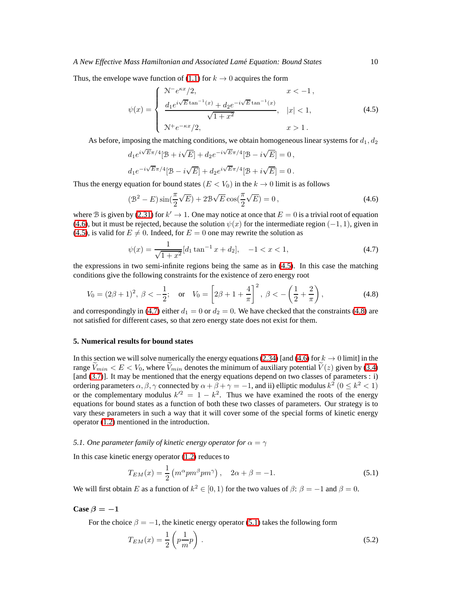<span id="page-9-1"></span>Thus, the envelope wave function of [\(1.1\)](#page-0-0) for  $k \to 0$  acquires the form

$$
\psi(x) = \begin{cases}\n\frac{\mathcal{N}^{-}e^{\kappa x}/2, & x < -1, \\
\frac{d_1 e^{i\sqrt{E} \tan^{-1}(x)} + d_2 e^{-i\sqrt{E} \tan^{-1}(x)}}{\sqrt{1 + x^2}}, & |x| < 1, \\
\mathcal{N}^{+} e^{-\kappa x}/2, & x > 1.\n\end{cases}
$$
\n(4.5)

As before, imposing the matching conditions, we obtain homogeneous linear systems for  $d_1, d_2$ 

$$
d_1e^{i\sqrt{E}\pi/4}[\mathcal{B}+i\sqrt{E}]+d_2e^{-i\sqrt{E}\pi/4}[\mathcal{B}-i\sqrt{E}]=0,
$$
  

$$
d_1e^{-i\sqrt{E}\pi/4}[\mathcal{B}-i\sqrt{E}]+d_2e^{i\sqrt{E}\pi/4}[\mathcal{B}+i\sqrt{E}]=0.
$$

<span id="page-9-0"></span>Thus the energy equation for bound states ( $E < V_0$ ) in the  $k \to 0$  limit is as follows

$$
\left(\mathcal{B}^2 - E\right)\sin\left(\frac{\pi}{2}\sqrt{E}\right) + 2\mathcal{B}\sqrt{E}\cos\left(\frac{\pi}{2}\sqrt{E}\right) = 0\,,\tag{4.6}
$$

<span id="page-9-2"></span>where B is given by [\(2.31\)](#page-6-5) for  $k' \to 1$ . One may notice at once that  $E = 0$  is a trivial root of equation [\(4.6\)](#page-9-0), but it must be rejected, because the solution  $\psi(x)$  for the intermediate region (-1, 1), given in [\(4.5\)](#page-9-1), is valid for  $E \neq 0$ . Indeed, for  $E = 0$  one may rewrite the solution as

$$
\psi(x) = \frac{1}{\sqrt{1+x^2}} [d_1 \tan^{-1} x + d_2], \quad -1 < x < 1,\tag{4.7}
$$

the expressions in two semi-infinite regions being the same as in [\(4.5\)](#page-9-1). In this case the matching conditions give the following constraints for the existence of zero energy root

<span id="page-9-3"></span>
$$
V_0 = (2\beta + 1)^2, \ \beta < -\frac{1}{2}; \quad \text{or} \quad V_0 = \left[2\beta + 1 + \frac{4}{\pi}\right]^2, \ \beta < -\left(\frac{1}{2} + \frac{2}{\pi}\right), \tag{4.8}
$$

and correspondingly in [\(4.7\)](#page-9-2) either  $d_1 = 0$  or  $d_2 = 0$ . We have checked that the constraints [\(4.8\)](#page-9-3) are not satisfied for different cases, so that zero energy state does not exist for them.

### **5. Numerical results for bound states**

In this section we will solve numerically the energy equations [\(2.34\)](#page-6-3) [and [\(4.6\)](#page-9-0) for  $k \to 0$  limit] in the range  $V_{min} < E < V_0$ , where  $V_{min}$  denotes the minimum of auxiliary potential  $V(z)$  given by [\(3.4\)](#page-7-2) [and [\(3.7\)](#page-8-1)]. It may be mentioned that the energy equations depend on two classes of parameters : i) ordering parameters  $\alpha$ ,  $\beta$ ,  $\gamma$  connected by  $\alpha + \beta + \gamma = -1$ , and ii) elliptic modulus  $k^2$  ( $0 \le k^2 < 1$ ) or the complementary modulus  $k'^2 = 1 - k^2$ . Thus we have examined the roots of the energy equations for bound states as a function of both these two classes of parameters. Our strategy is to vary these parameters in such a way that it will cover some of the special forms of kinetic energy operator [\(1.2\)](#page-1-0) mentioned in the introduction.

### *5.1. One parameter family of kinetic energy operator for*  $\alpha = \gamma$

<span id="page-9-4"></span>In this case kinetic energy operator [\(1.2\)](#page-1-0) reduces to

$$
T_{EM}(x) = \frac{1}{2} \left( m^{\alpha} p m^{\beta} p m^{\gamma} \right), \quad 2\alpha + \beta = -1. \tag{5.1}
$$

We will first obtain E as a function of  $k^2 \in [0, 1)$  for the two values of  $\beta: \beta = -1$  and  $\beta = 0$ .

Case  $\beta = -1$ 

For the choice  $\beta = -1$ , the kinetic energy operator [\(5.1\)](#page-9-4) takes the following form

$$
T_{EM}(x) = \frac{1}{2} \left( p \frac{1}{m} p \right). \tag{5.2}
$$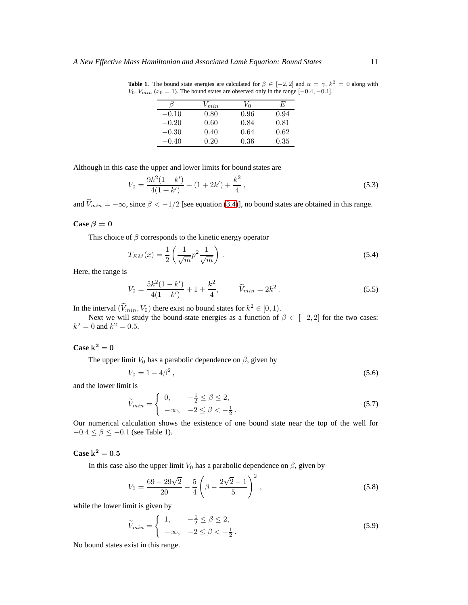|         | $V_{min}$ | V <sub>0</sub> | E    |
|---------|-----------|----------------|------|
| $-0.10$ | 0.80      | 0.96           | 0.94 |
| $-0.20$ | 0.60      | 0.84           | 0.81 |
| $-0.30$ | 0.40      | 0.64           | 0.62 |
| $-0.40$ | 0.20      | 0.36           | 0.35 |

**Table 1.** The bound state energies are calculated for  $\beta \in [-2, 2]$  and  $\alpha = \gamma$ ,  $k^2 = 0$  along with  $V_0$ ,  $V_{min}$  ( $x_0 = 1$ ). The bound states are observed only in the range [-0.4, -0.1].

Although in this case the upper and lower limits for bound states are

$$
V_0 = \frac{9k^2(1 - k')}{4(1 + k')} - (1 + 2k') + \frac{k^2}{4},\tag{5.3}
$$

and  $\tilde{V}_{min} = -\infty$ , since  $\beta < -1/2$  [see equation [\(3.4\)](#page-7-2)], no bound states are obtained in this range.

## **Case**  $\beta = 0$

This choice of  $\beta$  corresponds to the kinetic energy operator

$$
T_{EM}(x) = \frac{1}{2} \left( \frac{1}{\sqrt{m}} p^2 \frac{1}{\sqrt{m}} \right). \tag{5.4}
$$

Here, the range is

$$
V_0 = \frac{5k^2(1-k')}{4(1+k')} + 1 + \frac{k^2}{4}, \qquad \tilde{V}_{min} = 2k^2.
$$
 (5.5)

In the interval  $(V_{min}, V_0)$  there exist no bound states for  $k^2 \in [0, 1)$ .

Next we will study the bound-state energies as a function of  $\beta \in [-2, 2]$  for the two cases:  $k^2 = 0$  and  $k^2 = 0.5$ .

## $\text{Case } k^2 = 0$

The upper limit  $V_0$  has a parabolic dependence on  $\beta$ , given by

$$
V_0 = 1 - 4\beta^2, \tag{5.6}
$$

<span id="page-10-0"></span>and the lower limit is

$$
\widetilde{V}_{min} = \begin{cases}\n0, & -\frac{1}{2} \le \beta \le 2, \\
-\infty, & -2 \le \beta < -\frac{1}{2}.\n\end{cases}
$$
\n(5.7)

Our numerical calculation shows the existence of one bound state near the top of the well for  $-0.4 \leq \beta \leq -0.1$  (see Table 1).

## Case  $k^2 = 0.5$

In this case also the upper limit  $V_0$  has a parabolic dependence on  $\beta$ , given by

$$
V_0 = \frac{69 - 29\sqrt{2}}{20} - \frac{5}{4} \left( \beta - \frac{2\sqrt{2} - 1}{5} \right)^2,
$$
\n(5.8)

while the lower limit is given by

$$
\widetilde{V}_{min} = \begin{cases} 1, & -\frac{1}{2} \le \beta \le 2, \\ -\infty, & -2 \le \beta < -\frac{1}{2} \end{cases} \tag{5.9}
$$

No bound states exist in this range.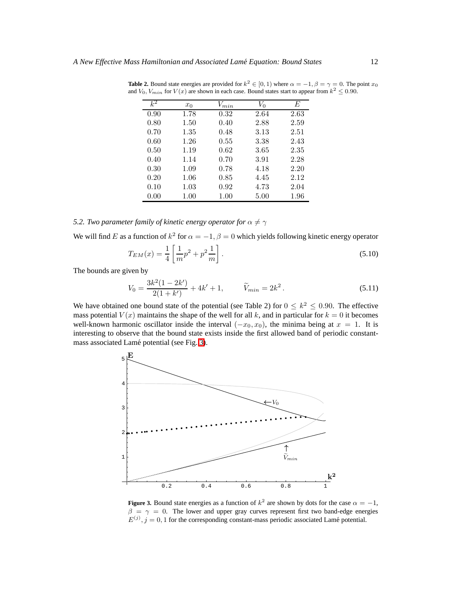| $k^2$ | $x_0$ | $V_{min}$ | $V_{0}$ | E        |
|-------|-------|-----------|---------|----------|
| 0.90  | 1.78  | 0.32      | 2.64    | 2.63     |
| 0.80  | 1.50  | 0.40      | 2.88    | 2.59     |
| 0.70  | 1.35  | 0.48      | 3.13    | 2.51     |
| 0.60  | 1.26  | 0.55      | 3.38    | 2.43     |
| 0.50  | 1.19  | 0.62      | 3.65    | 2.35     |
| 0.40  | 1.14  | 0.70      | 3.91    | 2.28     |
| 0.30  | 1.09  | 0.78      | 4.18    | 2.20     |
| 0.20  | 1.06  | 0.85      | 4.45    | 2.12     |
| 0.10  | 1.03  | 0.92      | 4.73    | 2.04     |
| 0.00  | 1.00  | 1.00      | 5.00    | $1.96\,$ |

**Table 2.** Bound state energies are provided for  $k^2 \in [0, 1)$  where  $\alpha = -1, \beta = \gamma = 0$ . The point  $x_0$ and  $V_0$ ,  $V_{min}$  for  $V(x)$  are shown in each case. Bound states start to appear from  $k^2 \le 0.90$ .

## *5.2. Two parameter family of kinetic energy operator for*  $\alpha \neq \gamma$

We will find E as a function of  $k^2$  for  $\alpha = -1$ ,  $\beta = 0$  which yields following kinetic energy operator

$$
T_{EM}(x) = \frac{1}{4} \left[ \frac{1}{m} p^2 + p^2 \frac{1}{m} \right].
$$
\n(5.10)

The bounds are given by

$$
V_0 = \frac{3k^2(1 - 2k')}{2(1 + k')} + 4k' + 1, \qquad \tilde{V}_{min} = 2k^2.
$$
 (5.11)

We have obtained one bound state of the potential (see Table 2) for  $0 \le k^2 \le 0.90$ . The effective mass potential  $V(x)$  maintains the shape of the well for all k, and in particular for  $k = 0$  it becomes well-known harmonic oscillator inside the interval  $(-x_0, x_0)$ , the minima being at  $x = 1$ . It is interesting to observe that the bound state exists inside the first allowed band of periodic constant-mass associated Lamé potential (see Fig. [3\)](#page-11-0).



<span id="page-11-0"></span>**Figure 3.** Bound state energies as a function of  $k^2$  are shown by dots for the case  $\alpha = -1$ ,  $\beta = \gamma = 0$ . The lower and upper gray curves represent first two band-edge energies  $E^{(j)}$ ,  $j = 0, 1$  for the corresponding constant-mass periodic associated Lamé potential.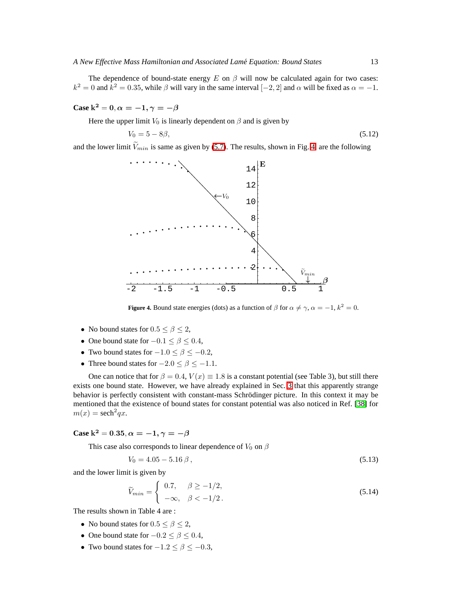The dependence of bound-state energy E on  $\beta$  will now be calculated again for two cases:  $k^2 = 0$  and  $k^2 = 0.35$ , while  $\beta$  will vary in the same interval  $[-2, 2]$  and  $\alpha$  will be fixed as  $\alpha = -1$ .

## **Case**  $k^2 = 0, \alpha = -1, \gamma = -\beta$

Here the upper limit  $V_0$  is linearly dependent on  $\beta$  and is given by

$$
V_0 = 5 - 8\beta, \t\t(5.12)
$$

and the lower limit  $\tilde{V}_{min}$  is same as given by [\(5.7\)](#page-10-0). The results, shown in Fig. [4,](#page-12-0) are the following



**Figure 4.** Bound state energies (dots) as a function of  $\beta$  for  $\alpha \neq \gamma$ ,  $\alpha = -1$ ,  $k^2 = 0$ .

- <span id="page-12-0"></span>• No bound states for  $0.5 \le \beta \le 2$ ,
- One bound state for  $-0.1 \le \beta \le 0.4$ ,
- Two bound states for  $-1.0 \le \beta \le -0.2$ ,
- Three bound states for  $-2.0 \le \beta \le -1.1$ .

One can notice that for  $\beta = 0.4$ ,  $V(x) \equiv 1.8$  is a constant potential (see Table 3), but still there exists one bound state. However, we have already explained in Sec. [3](#page-7-3) that this apparently strange behavior is perfectly consistent with constant-mass Schrödinger picture. In this context it may be mentioned that the existence of bound states for constant potential was also noticed in Ref. [\[38\]](#page-19-25) for  $m(x) = \operatorname{sech}^2 qx.$ 

## **Case**  $k^2 = 0.35, \alpha = -1, \gamma = -\beta$

This case also corresponds to linear dependence of  $V_0$  on  $\beta$ 

$$
V_0 = 4.05 - 5.16 \,\beta \,,\tag{5.13}
$$

and the lower limit is given by

$$
\widetilde{V}_{min} = \begin{cases}\n0.7, & \beta \ge -1/2, \\
-\infty, & \beta < -1/2.\n\end{cases}\n\tag{5.14}
$$

The results shown in Table 4 are :

- No bound states for  $0.5 \le \beta \le 2$ ,
- One bound state for  $-0.2 \le \beta \le 0.4$ ,
- Two bound states for  $-1.2 \le \beta \le -0.3$ ,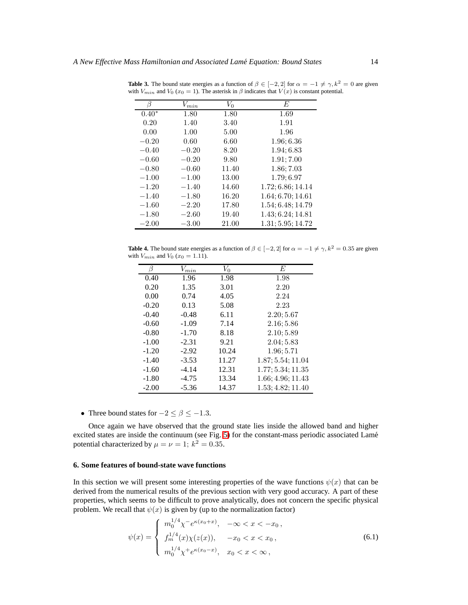| R       | $V_{min}$ | $V_0$ | E                 |
|---------|-----------|-------|-------------------|
| $0.40*$ | 1.80      | 1.80  | 1.69              |
| 0.20    | 1.40      | 3.40  | 1.91              |
| 0.00    | 1.00      | 5.00  | 1.96              |
| $-0.20$ | 0.60      | 6.60  | 1.96; 6.36        |
| $-0.40$ | $-0.20$   | 8.20  | 1.94:6.83         |
| $-0.60$ | $-0.20$   | 9.80  | 1.91; 7.00        |
| $-0.80$ | $-0.60$   | 11.40 | 1.86; 7.03        |
| $-1.00$ | $-1.00$   | 13.00 | 1.79; 6.97        |
| $-1.20$ | $-1.40$   | 14.60 | 1.72:6.86:14.14   |
| $-1.40$ | $-1.80$   | 16.20 | 1.64; 6.70; 14.61 |
| $-1.60$ | $-2.20$   | 17.80 | 1.54; 6.48; 14.79 |
| $-1.80$ | $-2.60$   | 19.40 | 1.43; 6.24; 14.81 |
| $-2.00$ | $-3.00$   | 21.00 | 1.31; 5.95; 14.72 |

**Table 3.** The bound state energies as a function of  $\beta \in [-2, 2]$  for  $\alpha = -1 \neq \gamma$ ,  $k^2 = 0$  are given with  $V_{min}$  and  $V_0$  ( $x_0 = 1$ ). The asterisk in  $\beta$  indicates that  $V(x)$  is constant potential.

**Table 4.** The bound state energies as a function of  $\beta \in [-2, 2]$  for  $\alpha = -1 \neq \gamma$ ,  $k^2 = 0.35$  are given with  $V_{min}$  and  $V_0$  ( $x_0 = 1.11$ ).

|         | $V_{min}$ | $V_{0}$ | E                 |
|---------|-----------|---------|-------------------|
| 0.40    | 1.96      | 1.98    | 1.98              |
| 0.20    | 1.35      | 3.01    | 2.20              |
| 0.00    | 0.74      | 4.05    | 2.24              |
| $-0.20$ | 0.13      | 5.08    | 2.23              |
| $-0.40$ | $-0.48$   | 6.11    | 2.20; 5.67        |
| $-0.60$ | $-1.09$   | 7.14    | 2.16:5.86         |
| $-0.80$ | $-1.70$   | 8.18    | 2.10; 5.89        |
| $-1.00$ | $-2.31$   | 9.21    | 2.04:5.83         |
| $-1.20$ | $-2.92$   | 10.24   | 1.96:5.71         |
| $-1.40$ | $-3.53$   | 11.27   | 1.87; 5.54; 11.04 |
| $-1.60$ | $-4.14$   | 12.31   | 1.77:5.34:11.35   |
| $-1.80$ | $-4.75$   | 13.34   | 1.66; 4.96; 11.43 |
| $-2.00$ | $-5.36$   | 14.37   | 1.53; 4.82; 11.40 |
|         |           |         |                   |

• Three bound states for  $-2 \le \beta \le -1.3$ .

Once again we have observed that the ground state lies inside the allowed band and higher excited states are inside the continuum (see Fig. [5\)](#page-14-0) for the constant-mass periodic associated Lamé potential characterized by  $\mu = \nu = 1$ ;  $k^2 = 0.35$ .

### **6. Some features of bound-state wave functions**

In this section we will present some interesting properties of the wave functions  $\psi(x)$  that can be derived from the numerical results of the previous section with very good accuracy. A part of these properties, which seems to be difficult to prove analytically, does not concern the specific physical problem. We recall that  $\psi(x)$  is given by (up to the normalization factor)

$$
\psi(x) = \begin{cases}\n m_0^{1/4} \chi^- e^{\kappa(x_0 + x)}, & -\infty < x < -x_0, \\
 f_m^{1/4}(x) \chi(z(x)), & -x_0 < x < x_0, \\
 m_0^{1/4} \chi^+ e^{\kappa(x_0 - x)}, & x_0 < x < \infty,\n\end{cases} \tag{6.1}
$$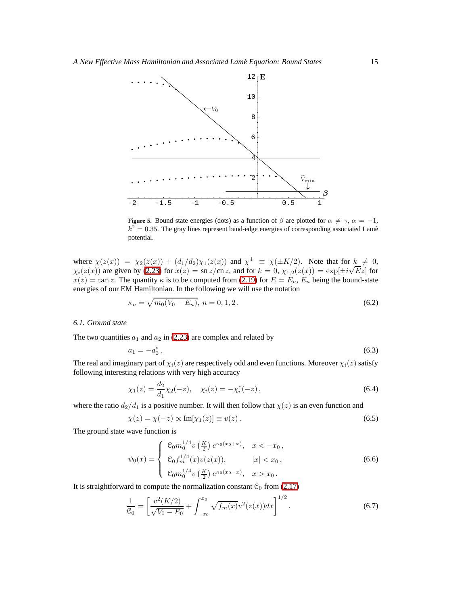

<span id="page-14-0"></span>**Figure 5.** Bound state energies (dots) as a function of  $\beta$  are plotted for  $\alpha \neq \gamma$ ,  $\alpha = -1$ ,  $k^2 = 0.35$ . The gray lines represent band-edge energies of corresponding associated Lamé potential.

where  $\chi(z(x)) = \chi_2(z(x)) + (d_1/d_2)\chi_1(z(x))$  and  $\chi^{\pm} \equiv \chi(\pm K/2)$ . Note that for  $k \neq 0$ ,  $\chi_i(z(x))$  are given by [\(2.23\)](#page-5-1) for  $x(z) = \frac{\sin z}{\cosh z}$ , and for  $k = 0$ ,  $\chi_{1,2}(z(x)) = \exp[\pm i\sqrt{E}z]$  for  $x(z) = \tan z$ . The quantity  $\kappa$  is to be computed from [\(2.19\)](#page-4-0) for  $E = E_n$ ,  $E_n$  being the bound-state energies of our EM Hamiltonian. In the following we will use the notation

$$
\kappa_n = \sqrt{m_0(V_0 - E_n)}, \ n = 0, 1, 2. \tag{6.2}
$$

## *6.1. Ground state*

The two quantities  $a_1$  and  $a_2$  in [\(2.23\)](#page-5-1) are complex and related by

$$
a_1 = -a_2^*.
$$
\n(6.3)

<span id="page-14-1"></span>The real and imaginary part of  $\chi_i(z)$  are respectively odd and even functions. Moreover  $\chi_i(z)$  satisfy following interesting relations with very high accuracy

$$
\chi_1(z) = \frac{d_2}{d_1} \chi_2(-z), \quad \chi_i(z) = -\chi_i^*(-z), \tag{6.4}
$$

where the ratio  $d_2/d_1$  is a positive number. It will then follow that  $\chi(z)$  is an even function and

$$
\chi(z) = \chi(-z) \propto \text{Im}[\chi_1(z)] \equiv v(z). \tag{6.5}
$$

The ground state wave function is

$$
\psi_0(x) = \begin{cases} \mathcal{C}_0 m_0^{1/4} v\left(\frac{K}{2}\right) e^{\kappa_0(x_0+x)}, & x < -x_0, \\ \mathcal{C}_0 f_m^{1/4}(x) v(z(x)), & |x| < x_0, \\ \mathcal{C}_0 m_0^{1/4} v\left(\frac{K}{2}\right) e^{\kappa_0(x_0-x)}, & x > x_0. \end{cases}
$$
(6.6)

It is straightforward to compute the normalization constant  $C_0$  from [\(2.17\)](#page-4-6)

$$
\frac{1}{\mathcal{C}_0} = \left[ \frac{v^2(K/2)}{\sqrt{V_0 - E_0}} + \int_{-x_0}^{x_0} \sqrt{f_m(x)} v^2(z(x)) dx \right]^{1/2}.
$$
\n(6.7)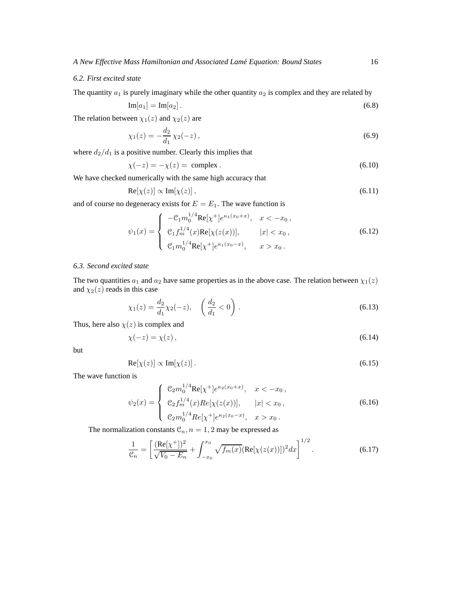### *6.2. First excited state*

The quantity  $a_1$  is purely imaginary while the other quantity  $a_2$  is complex and they are related by

$$
\operatorname{Im}[a_1] = \operatorname{Im}[a_2].\tag{6.8}
$$

The relation between  $\chi_1(z)$  and  $\chi_2(z)$  are

$$
\chi_1(z) = -\frac{d_2}{d_1} \chi_2(-z),\tag{6.9}
$$

where  $d_2/d_1$  is a positive number. Clearly this implies that

$$
\chi(-z) = -\chi(z) = \text{complex} \tag{6.10}
$$

We have checked numerically with the same high accuracy that

$$
\operatorname{Re}[\chi(z)] \propto \operatorname{Im}[\chi(z)],\tag{6.11}
$$

and of course no degeneracy exists for  $E = E_1$ . The wave function is

$$
\psi_1(x) = \begin{cases}\n-\mathcal{C}_1 m_0^{1/4} \text{Re}[\chi^+] e^{\kappa_1(x_0+x)}, & x < -x_0, \\
\mathcal{C}_1 f_m^{1/4}(x) \text{Re}[\chi(z(x))], & |x| < x_0, \\
\mathcal{C}_1 m_0^{1/4} \text{Re}[\chi^+] e^{\kappa_1(x_0-x)}, & x > x_0.\n\end{cases}
$$
\n(6.12)

## *6.3. Second excited state*

The two quantities  $a_1$  and  $a_2$  have same properties as in the above case. The relation between  $\chi_1(z)$ and  $\chi_2(z)$  reads in this case

$$
\chi_1(z) = \frac{d_2}{d_1} \chi_2(-z), \quad \left(\frac{d_2}{d_1} < 0\right). \tag{6.13}
$$

Thus, here also  $\chi(z)$  is complex and

$$
\chi(-z) = \chi(z),\tag{6.14}
$$

but

$$
\operatorname{Re}[\chi(z)] \propto \operatorname{Im}[\chi(z)]. \tag{6.15}
$$

The wave function is

$$
\psi_2(x) = \begin{cases} \n\mathcal{C}_2 m_0^{1/4} \text{Re}[\chi^+] e^{\kappa_2(x_0 + x)}, & x < -x_0, \\
\mathcal{C}_2 f_m^{1/4}(x) Re[\chi(z(x))], & |x| < x_0, \\
\mathcal{C}_2 m_0^{1/4} Re[\chi^+] e^{\kappa_2(x_0 - x)}, & x > x_0.\n\end{cases} \tag{6.16}
$$

The normalization constants  $\mathcal{C}_n$ ,  $n = 1, 2$  may be expressed as

$$
\frac{1}{\mathcal{C}_n} = \left[ \frac{(\text{Re}[\chi^+])^2}{\sqrt{V_0 - E_n}} + \int_{-x_0}^{x_0} \sqrt{f_m(x)} (\text{Re}[\chi(z(x))])^2 dx \right]^{1/2}.
$$
 (6.17)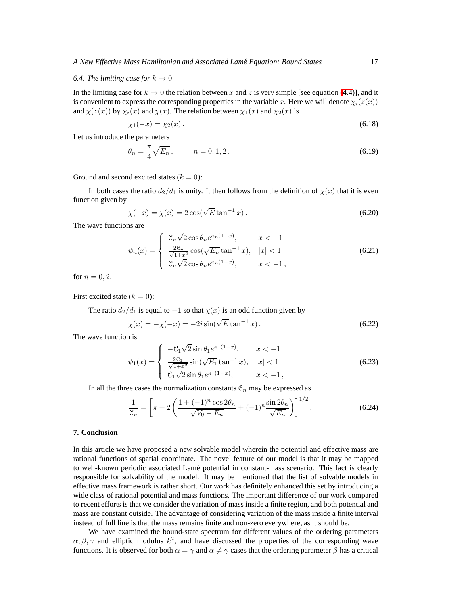#### *6.4. The limiting case for*  $k \to 0$

In the limiting case for  $k \to 0$  the relation between x and z is very simple [see equation [\(4.4\)](#page-8-2)], and it is convenient to express the corresponding properties in the variable x. Here we will denote  $\chi_i(z(x))$ and  $\chi(z(x))$  by  $\chi_i(x)$  and  $\chi(x)$ . The relation between  $\chi_1(x)$  and  $\chi_2(x)$  is

$$
\chi_1(-x) = \chi_2(x). \tag{6.18}
$$

Let us introduce the parameters

$$
\theta_n = \frac{\pi}{4} \sqrt{E_n}, \qquad n = 0, 1, 2. \tag{6.19}
$$

Ground and second excited states  $(k = 0)$ :

In both cases the ratio  $d_2/d_1$  is unity. It then follows from the definition of  $\chi(x)$  that it is even function given by

$$
\chi(-x) = \chi(x) = 2\cos(\sqrt{E}\tan^{-1}x). \tag{6.20}
$$

The wave functions are

$$
\psi_n(x) = \begin{cases} \n\mathcal{C}_n \sqrt{2} \cos \theta_n e^{\kappa_n (1+x)}, & x < -1 \\ \n\frac{2\mathcal{C}_n}{\sqrt{1+x^2}} \cos(\sqrt{E_n} \tan^{-1} x), & |x| < 1 \\ \n\mathcal{C}_n \sqrt{2} \cos \theta_n e^{\kappa_n (1-x)}, & x < -1 \n\end{cases} \tag{6.21}
$$

for  $n = 0, 2$ .

First excited state  $(k = 0)$ :

The ratio  $d_2/d_1$  is equal to  $-1$  so that  $\chi(x)$  is an odd function given by

$$
\chi(x) = -\chi(-x) = -2i\sin(\sqrt{E}\tan^{-1}x). \tag{6.22}
$$

The wave function is

$$
\psi_1(x) = \begin{cases}\n-\mathcal{C}_1 \sqrt{2} \sin \theta_1 e^{\kappa_1 (1+x)}, & x < -1 \\
\frac{2\mathcal{C}_1}{\sqrt{1+x^2}} \sin(\sqrt{E_1} \tan^{-1} x), & |x| < 1 \\
\mathcal{C}_1 \sqrt{2} \sin \theta_1 e^{\kappa_1 (1-x)}, & x < -1,\n\end{cases}
$$
\n(6.23)

In all the three cases the normalization constants  $\mathcal{C}_n$  may be expressed as

$$
\frac{1}{\mathcal{C}_n} = \left[ \pi + 2 \left( \frac{1 + (-1)^n \cos 2\theta_n}{\sqrt{V_0 - E_n}} + (-1)^n \frac{\sin 2\theta_n}{\sqrt{E_n}} \right) \right]^{1/2}.
$$
 (6.24)

### **7. Conclusion**

In this article we have proposed a new solvable model wherein the potential and effective mass are rational functions of spatial coordinate. The novel feature of our model is that it may be mapped to well-known periodic associated Lam´e potential in constant-mass scenario. This fact is clearly responsible for solvability of the model. It may be mentioned that the list of solvable models in effective mass framework is rather short. Our work has definitely enhanced this set by introducing a wide class of rational potential and mass functions. The important difference of our work compared to recent efforts is that we consider the variation of mass inside a finite region, and both potential and mass are constant outside. The advantage of considering variation of the mass inside a finite interval instead of full line is that the mass remains finite and non-zero everywhere, as it should be.

We have examined the bound-state spectrum for different values of the ordering parameters  $\alpha, \beta, \gamma$  and elliptic modulus  $k^2$ , and have discussed the properties of the corresponding wave functions. It is observed for both  $\alpha = \gamma$  and  $\alpha \neq \gamma$  cases that the ordering parameter  $\beta$  has a critical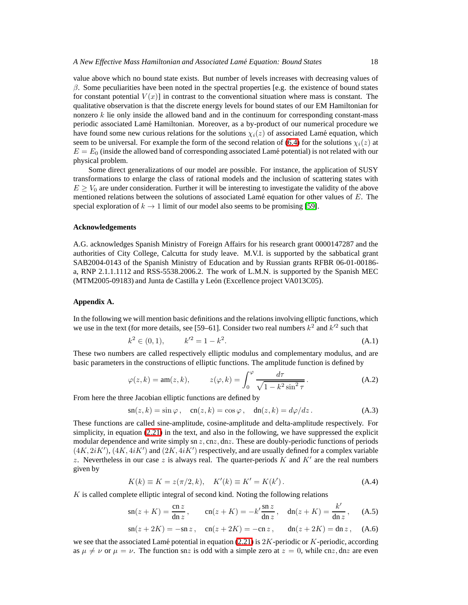value above which no bound state exists. But number of levels increases with decreasing values of  $\beta$ . Some peculiarities have been noted in the spectral properties [e.g. the existence of bound states for constant potential  $V(x)$  in contrast to the conventional situation where mass is constant. The qualitative observation is that the discrete energy levels for bound states of our EM Hamiltonian for nonzero  $k$  lie only inside the allowed band and in the continuum for corresponding constant-mass periodic associated Lam´e Hamiltonian. Moreover, as a by-product of our numerical procedure we have found some new curious relations for the solutions  $\chi_i(z)$  of associated Lamé equation, which seem to be universal. For example the form of the second relation of [\(6.4\)](#page-14-1) for the solutions  $\chi_i(z)$  at  $E = E_0$  (inside the allowed band of corresponding associated Lamé potential) is not related with our physical problem.

Some direct generalizations of our model are possible. For instance, the application of SUSY transformations to enlarge the class of rational models and the inclusion of scattering states with  $E \geq V_0$  are under consideration. Further it will be interesting to investigate the validity of the above mentioned relations between the solutions of associated Lamé equation for other values of  $E$ . The special exploration of  $k \to 1$  limit of our model also seems to be promising [\[59\]](#page-20-7).

#### **Acknowledgements**

A.G. acknowledges Spanish Ministry of Foreign Affairs for his research grant 0000147287 and the authorities of City College, Calcutta for study leave. M.V.I. is supported by the sabbatical grant SAB2004-0143 of the Spanish Ministry of Education and by Russian grants RFBR 06-01-00186 a, RNP 2.1.1.1112 and RSS-5538.2006.2. The work of L.M.N. is supported by the Spanish MEC (MTM2005-09183) and Junta de Castilla y León (Excellence project VA013C05).

### <span id="page-17-0"></span>**Appendix A.**

In the following we will mention basic definitions and the relations involving elliptic functions, which we use in the text (for more details, see [59–61]. Consider two real numbers  $k^2$  and  $k'^2$  such that

$$
k^2 \in (0, 1), \qquad k'^2 = 1 - k^2. \tag{A.1}
$$

These two numbers are called respectively elliptic modulus and complementary modulus, and are basic parameters in the constructions of elliptic functions. The amplitude function is defined by

$$
\varphi(z,k) = \operatorname{am}(z,k), \qquad z(\varphi,k) = \int_0^{\varphi} \frac{d\tau}{\sqrt{1 - k^2 \sin^2 \tau}}.
$$
 (A.2)

From here the three Jacobian elliptic functions are defined by

$$
sn(z, k) = \sin \varphi, \quad cn(z, k) = \cos \varphi, \quad dn(z, k) = d\varphi/dz. \tag{A.3}
$$

These functions are called sine-amplitude, cosine-amplitude and delta-amplitude respectively. For simplicity, in equation [\(2.21\)](#page-4-2) in the text, and also in the following, we have suppressed the explicit modular dependence and write simply sn  $z$ , cn $z$ , dn $z$ . These are doubly-periodic functions of periods  $(4K, 2iK')$ ,  $(4K, 4iK')$  and  $(2K, 4iK')$  respectively, and are usually defined for a complex variable z. Nevertheless in our case z is always real. The quarter-periods  $K$  and  $K'$  are the real numbers given by

$$
K(k) \equiv K = z(\pi/2, k), \quad K'(k) \equiv K' = K(k'). \tag{A.4}
$$

 $K$  is called complete elliptic integral of second kind. Noting the following relations

$$
\operatorname{sn}(z+K) = \frac{\operatorname{cn} z}{\operatorname{dn} z}, \qquad \operatorname{cn}(z+K) = -k' \frac{\operatorname{sn} z}{\operatorname{dn} z}, \quad \operatorname{dn}(z+K) = \frac{k'}{\operatorname{dn} z}, \qquad \text{(A.5)}
$$

$$
sn(z + 2K) = -sn z
$$
,  $cn(z + 2K) = -cn z$ ,  $dn(z + 2K) = dn z$ , (A.6)

we see that the associated Lamé potential in equation [\(2.21\)](#page-4-2) is  $2K$ -periodic or K-periodic, according as  $\mu \neq \nu$  or  $\mu = \nu$ . The function snz is odd with a simple zero at  $z = 0$ , while cnz, dnz are even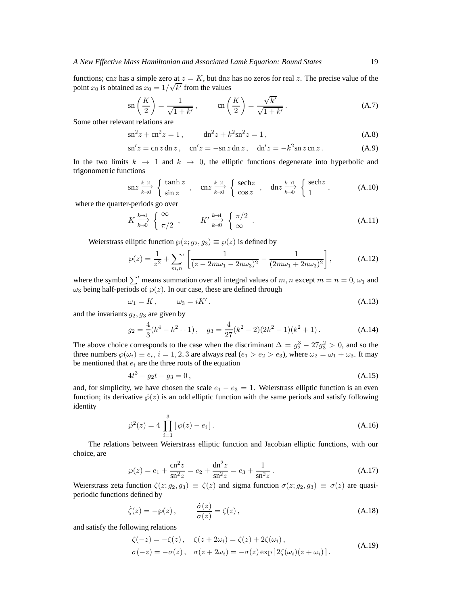functions; cnz has a simple zero at  $z = K$ , but dnz has no zeros for real z. The precise value of the point  $x_0$  is obtained as  $x_0 = 1/\sqrt{k'}$  from the values

$$
\operatorname{sn}\left(\frac{K}{2}\right) = \frac{1}{\sqrt{1+k'}}, \qquad \operatorname{cn}\left(\frac{K}{2}\right) = \frac{\sqrt{k'}}{\sqrt{1+k'}}.
$$
\n(A.7)

Some other relevant relations are

$$
\sin^2 z + \cosh^2 z = 1, \qquad \sin^2 z + k^2 \sin^2 z = 1, \tag{A.8}
$$

$$
\mathrm{sn}'z = \mathrm{cn}\,z\,\mathrm{dn}\,z\,,\quad \mathrm{cn}'z = -\mathrm{sn}\,z\,\mathrm{dn}\,z\,,\quad \mathrm{dn}'z = -k^2\mathrm{sn}\,z\,\mathrm{cn}\,z\,.
$$

In the two limits  $k \to 1$  and  $k \to 0$ , the elliptic functions degenerate into hyperbolic and trigonometric functions

$$
\operatorname{sn} z \xrightarrow{k \to 1} \begin{cases} \tanh z \\ \sin z \end{cases}, \quad \operatorname{cn} z \xrightarrow{k \to 1} \begin{cases} \operatorname{sech} z \\ \cos z \end{cases}, \quad \operatorname{dn} z \xrightarrow{k \to 1} \begin{cases} \operatorname{sech} z \\ 1 \end{cases}, \tag{A.10}
$$

where the quarter-periods go over

$$
K \xrightarrow{k \to 1} \begin{cases} \infty \\ \pi/2 \end{cases}, \qquad K' \xrightarrow{k \to 1} \begin{cases} \pi/2 \\ \infty \end{cases}.
$$
 (A.11)

Weierstrass elliptic function  $\wp(z; g_2, g_3) \equiv \wp(z)$  is defined by

$$
\wp(z) = \frac{1}{z^2} + \sum_{m,n} \left[ \frac{1}{(z - 2m\omega_1 - 2n\omega_3)^2} - \frac{1}{(2m\omega_1 + 2n\omega_3)^2} \right],
$$
 (A.12)

<span id="page-18-0"></span>where the symbol  $\sum'$  means summation over all integral values of m, n except  $m = n = 0, \omega_1$  and  $\omega_3$  being half-periods of  $\wp(z)$ . In our case, these are defined through

$$
\omega_1 = K, \qquad \omega_3 = iK'.
$$
\n(A.13)

and the invariants  $g_2, g_3$  are given by

$$
g_2 = \frac{4}{3}(k^4 - k^2 + 1), \quad g_3 = \frac{4}{27}(k^2 - 2)(2k^2 - 1)(k^2 + 1).
$$
 (A.14)

The above choice corresponds to the case when the discriminant  $\Delta = g_2^3 - 27g_3^2 > 0$ , and so the three numbers  $\wp(\omega_i) \equiv e_i$ ,  $i = 1, 2, 3$  are always real  $(e_1 > e_2 > e_3)$ , where  $\omega_2 = \omega_1 + \omega_3$ . It may be mentioned that  $e_i$  are the three roots of the equation

$$
4t^3 - g_2t - g_3 = 0, \t\t(A.15)
$$

and, for simplicity, we have chosen the scale  $e_1 - e_3 = 1$ . Weierstrass elliptic function is an even function; its derivative  $\dot{\varphi}(z)$  is an odd elliptic function with the same periods and satisfy following identity

$$
\dot{\wp}^2(z) = 4 \prod_{i=1}^3 [\wp(z) - e_i]. \tag{A.16}
$$

The relations between Weierstrass elliptic function and Jacobian elliptic functions, with our choice, are

$$
\wp(z) = e_1 + \frac{\text{cn}^2 z}{\text{sn}^2 z} = e_2 + \frac{\text{dn}^2 z}{\text{sn}^2 z} = e_3 + \frac{1}{\text{sn}^2 z}.
$$
 (A.17)

Weierstrass zeta function  $\zeta(z; g_2, g_3) \equiv \zeta(z)$  and sigma function  $\sigma(z; g_2, g_3) \equiv \sigma(z)$  are quasiperiodic functions defined by

$$
\dot{\zeta}(z) = -\wp(z), \qquad \frac{\dot{\sigma}(z)}{\sigma(z)} = \zeta(z), \qquad (A.18)
$$

<span id="page-18-1"></span>and satisfy the following relations

$$
\begin{aligned}\n\zeta(-z) &= -\zeta(z), & \zeta(z + 2\omega_i) &= \zeta(z) + 2\zeta(\omega_i), \\
\sigma(-z) &= -\sigma(z), & \sigma(z + 2\omega_i) &= -\sigma(z) \exp\left[2\zeta(\omega_i)(z + \omega_i)\right].\n\end{aligned} \tag{A.19}
$$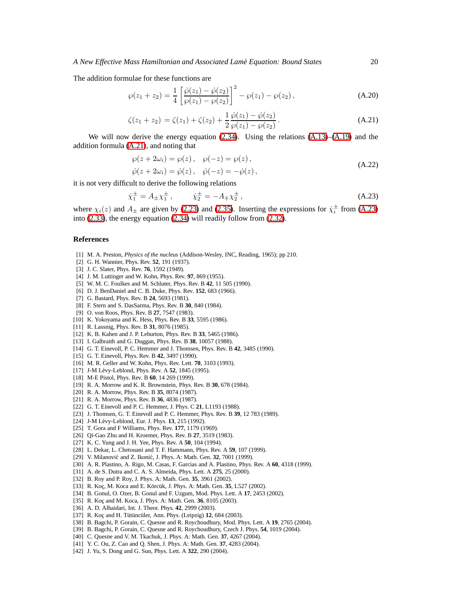<span id="page-19-26"></span>The addition formulae for these functions are

$$
\wp(z_1 + z_2) = \frac{1}{4} \left[ \frac{\dot{\wp}(z_1) - \dot{\wp}(z_2)}{\wp(z_1) - \wp(z_2)} \right]^2 - \wp(z_1) - \wp(z_2), \tag{A.20}
$$

$$
\zeta(z_1 + z_2) = \zeta(z_1) + \zeta(z_2) + \frac{1}{2} \frac{\wp(z_1) - \wp(z_2)}{\wp(z_1) - \wp(z_2)}.
$$
\n(A.21)

We will now derive the energy equation  $(2.34)$ . Using the relations  $(A.13)$ – $(A.19)$  and the addition formula [\(A.21\)](#page-19-26), and noting that

$$
\begin{aligned} \wp(z + 2\omega_i) &= \wp(z) \,, \quad \wp(-z) = \wp(z) \,, \\ \dot{\wp}(z + 2\omega_i) &= \dot{\wp}(z) \,, \quad \dot{\wp}(-z) = -\dot{\wp}(z) \,, \end{aligned} \tag{A.22}
$$

<span id="page-19-27"></span>it is not very difficult to derive the following relations

$$
\dot{\chi}_1^{\pm} = A_{\pm} \chi_1^{\pm} , \qquad \dot{\chi}_2^{\pm} = -A_{\mp} \chi_2^{\pm} , \tag{A.23}
$$

where  $\chi_i(z)$  and  $A_{\pm}$  are given by [\(2.23\)](#page-5-1) and [\(2.35\)](#page-6-4). Inserting the expressions for  $\dot{\chi}_i^{\pm}$  from [\(A.23\)](#page-19-27) into [\(2.33\)](#page-6-6), the energy equation [\(2.34\)](#page-6-3) will readily follow from [\(2.32\)](#page-6-2).

#### <span id="page-19-0"></span>**References**

- <span id="page-19-1"></span>[1] M. A. Preston, *Physics of the nucleus* (Addison-Wesley, INC, Reading, 1965); pp 210.
- [2] G. H. Wannier, Phys. Rev. **52**, 191 (1937).
- <span id="page-19-2"></span>[3] J. C. Slater, Phys. Rev. **76**, 1592 (1949).
- <span id="page-19-3"></span>[4] J. M. Luttinger and W. Kohn, Phys. Rev. **97**, 869 (1955).
- <span id="page-19-13"></span>[5] W. M. C. Foulkes and M. Schluter, Phys. Rev. B **42**, 11 505 (1990).
- [6] D. J. BenDaniel and C. B. Duke, Phys. Rev. **152**, 683 (1966).
- [7] G. Bastard, Phys. Rev. B **24**, 5693 (1981).
- <span id="page-19-5"></span>[8] F. Stern and S. DasSarma, Phys. Rev. B **30**, 840 (1984).
- [9] O. von Roos, Phys. Rev. B **27**, 7547 (1983).
- [10] K. Yokoyama and K. Hess, Phys. Rev. B **33**, 5595 (1986).
- [11] R. Lassnig, Phys. Rev. B **31**, 8076 (1985).
- [12] K. B. Kahen and J. P. Leburton, Phys. Rev. B **33**, 5465 (1986).
- <span id="page-19-9"></span>[13] I. Galbraith and G. Duggan, Phys. Rev. B **38**, 10057 (1988).
- <span id="page-19-12"></span>[14] G. T. Einevoll, P. C. Hemmer and J. Thomsen, Phys. Rev. B **42**, 3485 (1990).
- [15] G. T. Einevoll, Phys. Rev. B **42**, 3497 (1990).
- <span id="page-19-14"></span>[16] M. R. Geller and W. Kohn, Phys. Rev. Lett. **70**, 3103 (1993).
- [17] J-M Lévy-Leblond, Phys. Rev. A 52, 1845 (1995).
- <span id="page-19-6"></span><span id="page-19-4"></span>[18] M-E Pistol, Phys. Rev. B **60**, 14 269 (1999).
- <span id="page-19-7"></span>[19] R. A. Morrow and K. R. Brownstein, Phys. Rev. B **30**, 678 (1984).
- <span id="page-19-8"></span>[20] R. A. Morrow, Phys. Rev. B **35**, 8074 (1987).
- <span id="page-19-10"></span>[21] R. A. Morrow, Phys. Rev. B **36**, 4836 (1987).
- <span id="page-19-11"></span>[22] G. T. Einevoll and P. C. Hemmer, J. Phys. C **21**, L1193 (1988).
- <span id="page-19-15"></span>[23] J. Thomsen, G. T. Einevoll and P. C. Hemmer, Phys. Rev. B **39**, 12 783 (1989).
- <span id="page-19-16"></span>[24] J-M Lévy-Leblond, Eur. J. Phys. **13**, 215 (1992).
- [25] T. Gora and F Williams, Phys. Rev. **177**, 1179 (1969).
- <span id="page-19-18"></span><span id="page-19-17"></span>[26] Qi-Gao Zhu and H. Kroemer, Phys. Rev. B **27**, 3519 (1983).
- [27] K. C. Yung and J. H. Yee, Phys. Rev. A **50**, 104 (1994).
- <span id="page-19-24"></span>[28] L. Dekar, L. Chetouani and T. F. Hammann, Phys. Rev. A **59**, 107 (1999).
- [29] V. Milanović and Z. Ikonić, J. Phys. A: Math. Gen. 32, 7001 (1999).
- [30] A. R. Plastino, A. Rigo, M. Casas, F. Garcias and A. Plastino, Phys. Rev. A **60**, 4318 (1999).
- <span id="page-19-23"></span><span id="page-19-19"></span>[31] A. de S. Dutra and C. A. S. Almeida, Phys. Lett. A **275**, 25 (2000).
- [32] B. Roy and P. Roy, J. Phys. A: Math. Gen. **35**, 3961 (2002).
- <span id="page-19-20"></span>[33] R. Koç, M. Koca and E. Körcük, J. Phys. A: Math. Gen. 35, L527 (2002).
- [34] B. Gonul, O. Ozer, B. Gonul and F. Uzgum, Mod. Phys. Lett. A **17**, 2453 (2002).
- <span id="page-19-21"></span>[35] R. Koç and M. Koca, J. Phys. A: Math. Gen. 36, 8105 (2003).
- [36] A. D. Alhaidari, Int. J. Theor. Phys. **42**, 2999 (2003).
- <span id="page-19-25"></span>[37] R. Koç and H. Tütüncüler, Ann. Phys. (Leipzig) 12, 684 (2003).
- <span id="page-19-22"></span>[38] B. Bagchi, P. Gorain, C. Quesne and R. Roychoudhury, Mod. Phys. Lett. A **19**, 2765 (2004).
- [39] B. Bagchi, P. Gorain, C. Quesne and R. Roychoudhury, Czech J. Phys. **54**, 1019 (2004).
- [40] C. Quesne and V. M. Tkachuk, J. Phys. A: Math. Gen. **37**, 4267 (2004).
- [41] Y. C. Ou, Z. Cao and Q. Shen, J. Phys. A: Math. Gen. **37**, 4283 (2004).
- [42] J. Yu, S. Dong and G. Sun, Phys. Lett. A **322**, 290 (2004).